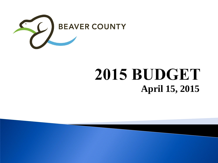

# 2015 BUDGET **April 15, 2015**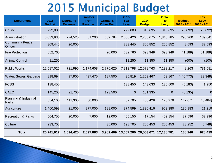### **2015 Municipal Budget**

| <b>Department</b>                 | 2015<br><b>Budget</b> | <b>Operating</b><br><b>Revenue</b> | <b>Transfer</b><br><b>From</b><br><b>Reserve</b> | <b>Grants &amp;</b><br><b>Other Rev</b> | 2015<br><b>Tax</b><br>Levy | 2014<br><b>Budget</b> | 2014<br><b>Tax</b><br>Levy | <b>Budget</b><br>$2015 - 2014$ | <b>Tax</b><br><b>Levy</b><br>2015 - 2014 |
|-----------------------------------|-----------------------|------------------------------------|--------------------------------------------------|-----------------------------------------|----------------------------|-----------------------|----------------------------|--------------------------------|------------------------------------------|
| Council                           | 292,003               |                                    |                                                  |                                         | 292,003                    | 318,695               | 318,695                    | (26, 692)                      | (26, 692)                                |
| Administration                    | 3,033,935             | 274,525                            | 81,200                                           | 639,784                                 | 2,038,426                  | 2,735,675             | 1,848,785                  | 298,260                        | 189,641                                  |
| <b>Community Peace</b><br>Officer | 309,445               | 26,000                             |                                                  |                                         | 283,445                    | 300,852               | 250,852                    | 8,593                          | 32,593                                   |
| <b>Fire Protection</b>            | 652,760               |                                    |                                                  | 20,000                                  | 632,760                    | 693,949               | 693,949                    | (41, 189)                      | (61, 189)                                |
| <b>Animal Control</b>             | 11,250                |                                    |                                                  |                                         | 11,250                     | 11,850                | 11,350                     | (600)                          | (100)                                    |
| <b>Public Works</b>               | 12,587,026            | 721,995                            | 1,174,608                                        | 2,776,625                               | 7,913,798                  | 12,578,763            | 7,132,217                  | 8,263                          | 781,581                                  |
| Water, Sewer, Garbage             | 818,694               | 97,900                             | 497,475                                          | 187,500                                 | 35,819                     | 1,259,467             | 59,167                     | (440, 773)                     | (23, 348)                                |
| <b>FCSS</b>                       | 138,450               |                                    |                                                  |                                         | 138,450                    | 143,633               | 136,500                    | (5, 183)                       | 1,950                                    |
| <b>CALC</b>                       | 145,200               | 21,700                             |                                                  | 123,500                                 |                            | 151,335               | $\overline{0}$             | (6, 135)                       | $\Omega$                                 |
| Planning & Industrial<br>Parks    | 554,100               | 411,305                            | 60,000                                           |                                         | 82,795                     | 406,429               | 126,279                    | 147,671                        | (43, 484)                                |
| Agriculture                       | 1,460,599             | 21,000                             | 277,000                                          | 188,000                                 | 974,599                    | 1,330,416             | 953,380                    | 130,183                        | 21,219                                   |
| <b>Recreation &amp; Parks</b>     | 504,750               | 20,000                             | 7,600                                            | 12,000                                  | 465,150                    | 417,154               | 402,154                    | 87,596                         | 62,996                                   |
| Culture                           | 233,705               |                                    |                                                  | 35,000                                  | 198,705                    | 205,453               | 205,453                    | 28,252                         | (6,748)                                  |
| <b>Total</b>                      | 20,741,917            | 1,594,425                          | 2,097,883                                        | 3,982,409                               | 13,067,200                 | 20,553,671            | 12,138,781                 | 188,246                        | 928,419                                  |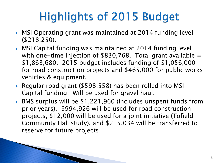- MSI Operating grant was maintained at 2014 funding level (\$218,250).
- MSI Capital funding was maintained at 2014 funding level with one-time injection of  $$830,768$ . Total grant available = \$1,863,680. 2015 budget includes funding of \$1,056,000 for road construction projects and \$465,000 for public works vehicles & equipment.
- ▶ Regular road grant (\$598,558) has been rolled into MSI Capital funding. Will be used for gravel haul.
- BMS surplus will be \$1,221,960 (includes unspent funds from prior years). \$994,926 will be used for road construction projects, \$12,000 will be used for a joint initiative (Tofield Community Hall study), and \$215,034 will be transferred to reserve for future projects.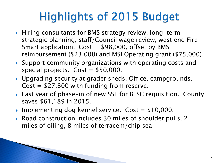- ▶ Hiring consultants for BMS strategy review, long-term strategic planning, staff/Council wage review, west end Fire Smart application.  $Cost = $98,000$ , offset by BMS reimbursement (\$23,000) and MSI Operating grant (\$75,000).
- Support community organizations with operating costs and special projects.  $Cost = $50,000$ .
- Upgrading security at grader sheds, Office, campgrounds.  $Cost = $27,800$  with funding from reserve.
- ▶ Last year of phase-in of new SSF for BESC requisition. County saves \$61,189 in 2015.
- Implementing dog kennel service.  $Cost = $10,000$ .
- Road construction includes 30 miles of shoulder pulls, 2 miles of oiling, 8 miles of terracem/chip seal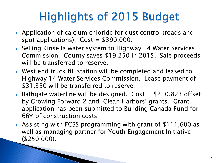- Application of calcium chloride for dust control (roads and spot applications).  $Cost = $390,000$ .
- ▶ Selling Kinsella water system to Highway 14 Water Services Commission. County saves \$19,250 in 2015. Sale proceeds will be transferred to reserve.
- West end truck fill station will be completed and leased to Highway 14 Water Services Commission. Lease payment of \$31,350 will be transferred to reserve.
- Bathgate waterline will be designed. Cost  $=$  \$210,823 offset by Growing Forward 2 and Clean Harbors' grants. Grant application has been submitted to Building Canada Fund for 66% of construction costs.
- Assisting with FCSS programming with grant of \$111,600 as well as managing partner for Youth Engagement Initiative (\$250,000).

PARTIES AND RESIDENCE ON AN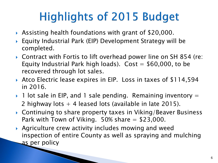- Assisting health foundations with grant of \$20,000.
- Equity Industrial Park (EIP) Development Strategy will be completed.
- ▶ Contract with Fortis to lift overhead power line on SH 854 (re: Equity Industrial Park high loads). Cost  $=$  \$60,000, to be recovered through lot sales.
- Atco Electric lease expires in EIP. Loss in taxes of \$114,594 in 2016.
- $\rightarrow$  1 lot sale in EIP, and 1 sale pending. Remaining inventory  $=$ 2 highway lots  $+$  4 leased lots (available in late 2015).
- ▶ Continuing to share property taxes in Viking/Beaver Business Park with Town of Viking.  $50\%$  share  $=$  \$23,000.
- Agriculture crew activity includes mowing and weed inspection of entire County as well as spraying and mulching as per policy

**The Company of the Company of the Company of the Company of the Company of the Company of the Company of the Company of the Company of The Company of The Company of The Company of The Company of The Company of The Company**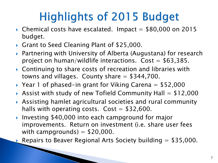- $\triangleright$  Chemical costs have escalated. Impact = \$80,000 on 2015 budget.
- Grant to Seed Cleaning Plant of \$25,000.

**The Comment of Comment Comment Comment Comment Comment Comment Comment Comment Comment Comment Comment Comment** 

- ▶ Partnering with University of Alberta (Augustana) for research project on human/wildlife interactions.  $Cost = $63,385$ .
- ▶ Continuing to share costs of recreation and libraries with towns and villages. County share  $=$  \$344,700.
- Year 1 of phased-in grant for Viking Carena  $=$  \$52,000
- Assist with study of new Tofield Community Hall  $=$  \$12,000
- Assisting hamlet agricultural societies and rural community halls with operating costs.  $Cost = $32,600$ .
- ▶ Investing \$40,000 into each campground for major improvements. Return on investment (i.e. share user fees with campgrounds)  $=$  \$20,000.

Repairs to Beaver Regional Arts Society building  $=$  \$35,000.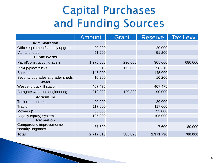### **Capital Purchases** and Funding Sources

|                                               | <b>Amount</b> | Grant   | <b>Reserve</b> | <b>Tax Levy</b> |
|-----------------------------------------------|---------------|---------|----------------|-----------------|
| <b>Administration</b>                         |               |         |                |                 |
| Office equipment/security upgrade             | 20,000        |         | 20,000         |                 |
| Aerial photos                                 | 51,200        |         | 51,200         |                 |
| <b>Public Works</b>                           |               |         |                |                 |
| Patrol/construction graders                   | 1,275,000     | 290,000 | 305,000        | 680,000         |
| Pickup/plow trucks                            | 233,315       | 175,000 | 58,315         |                 |
| <b>Backhoe</b>                                | 145,000       |         | 145,000        |                 |
| Security upgrades at grader sheds             | 10,200        |         | 10,200         |                 |
| <b>Water</b>                                  |               |         |                |                 |
| West end truckfill station                    | 407,475       |         | 407,475        |                 |
| Bathgate waterline engineering                | 210,823       | 120,823 | 90,000         |                 |
| <b>Agriculture</b>                            |               |         |                |                 |
| <b>Trailer for mulcher</b>                    | 20,000        |         | 20,000         |                 |
| Tractor                                       | 117,000       |         | 117,000        |                 |
| Mowers (2)                                    | 35,000        |         | 35,000         |                 |
| Legacy (spray) system                         | 105,000       |         | 105,000        |                 |
| <b>Recreation</b>                             |               |         |                |                 |
| Campground improvements/<br>security upgrades | 87,600        |         | 7,600          | 80,000          |
| <b>Total</b>                                  | 2,717,613     | 585,823 | 1,371,790      | 760,000         |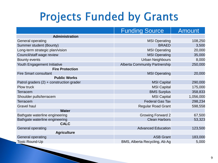### **Projects Funded by Grants**

|                                            | <b>Funding Source</b>                | <b>Amount</b> |
|--------------------------------------------|--------------------------------------|---------------|
| Administration                             |                                      |               |
| General operating                          | <b>MSI Operating</b>                 | 108,250       |
| <b>Summer student (Bounty)</b>             | <b>BRAED</b>                         | 3,500         |
| Long-term strategic plan/vision            | <b>MSI Operating</b>                 | 20,000        |
| Council/staff wage review                  | <b>MSI Operating</b>                 | 35,000        |
| Bounty events                              | <b>Urban Neighbours</b>              | 8,000         |
| Youth Engagement Initiative                | <b>Alberta Community Partnership</b> | 250,000       |
| <b>Fire Protection</b>                     |                                      |               |
| <b>Fire Smart consultant</b>               | <b>MSI Operating</b>                 | 20,000        |
| <b>Public Works</b>                        |                                      |               |
| Patrol graders $(2)$ + construction grader | <b>MSI Capital</b>                   | 290,000       |
| <b>Plow truck</b>                          | <b>MSI Capital</b>                   | 175,000       |
| Terracem                                   | <b>BMS Surplus</b>                   | 358,833       |
| Shoulder pulls/terracem                    | <b>MSI Capital</b>                   | 1,056,000     |
| <b>Terracem</b>                            | <b>Federal Gas Tax</b>               | 298,234       |
| <b>Gravel haul</b>                         | <b>Regular Road Grant</b>            | 598,558       |
| <b>Water</b>                               |                                      |               |
| Bathgate waterline engineering             | <b>Growing Forward 2</b>             | 67,500        |
| Bathgate waterline engineering             | <b>Clean Harbors</b>                 | 53,323        |
| <b>CALC</b>                                |                                      |               |
| General operating                          | <b>Advanced Education</b>            | 123,500       |
| <b>Agriculture</b>                         |                                      |               |
| General operating                          | <b>ASB Grant</b>                     | 183,000       |
| <b>Toxic Round-Up</b>                      | BMS, Alberta Recycling, Ab Ag        | 5,000         |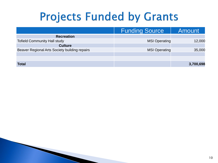### **Projects Funded by Grants**

|                                               | <b>Funding Source</b> | Amount    |
|-----------------------------------------------|-----------------------|-----------|
| <b>Recreation</b>                             |                       |           |
| <b>Tofield Community Hall study</b>           | <b>MSI Operating</b>  | 12,000    |
| <b>Culture</b>                                |                       |           |
| Beaver Regional Arts Society building repairs | <b>MSI Operating</b>  | 35,000    |
|                                               |                       |           |
|                                               |                       |           |
| <b>Total</b>                                  |                       | 3,700,698 |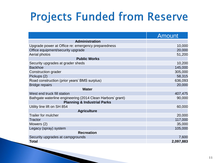### **Projects Funded from Reserve**

|                                                            | <b>Amount</b> |
|------------------------------------------------------------|---------------|
| <b>Administration</b>                                      |               |
| Upgrade power at Office re: emergency preparedness         | 10,000        |
| Office equipment/security upgrade                          | 20,000        |
| Aerial photos                                              | 51,200        |
| <b>Public Works</b>                                        |               |
| Security upgrades at grader sheds                          | 10,200        |
| <b>Backhoe</b>                                             | 145,000       |
| Construction grader                                        | 305,000       |
| Pickups (2)                                                | 58,315        |
| Road construction (prior years' BMS surplus)               | 636,093       |
| <b>Bridge repairs</b>                                      | 20,000        |
| <b>Water</b>                                               |               |
| West end truck fill station                                | 407,475       |
| Bathgate waterline engineering (2014 Clean Harbors' grant) | 90,000        |
| <b>Planning &amp; Industrial Parks</b>                     |               |
| Utility line lift on SH 854                                | 60,000        |
| <b>Agriculture</b>                                         |               |
| <b>Trailer for mulcher</b>                                 | 20,000        |
| <b>Tractor</b>                                             | 117,000       |
| Mowers (2)                                                 | 35,000        |
| Legacy (spray) system                                      | 105,000       |
| <b>Recreation</b>                                          |               |
| Security upgrades at campgrounds                           | 7,600         |
| Total                                                      | 2,097,883     |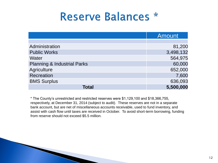#### **Reserve Balances \***

|                                        | Amount    |
|----------------------------------------|-----------|
|                                        |           |
| Administration                         | 81,200    |
| <b>Public Works</b>                    | 3,498,132 |
| Water                                  | 564,975   |
| <b>Planning &amp; Industrial Parks</b> | 60,000    |
| Agriculture                            | 652,000   |
| Recreation                             | 7,600     |
| <b>BMS Surplus</b>                     | 636,093   |
| Total                                  | 5,500,000 |

\* The County's unrestricted and restricted reserves were \$1,129,100 and \$18,366,755, respectively, at December 31, 2014 (subject to audit). These reserves are not in a separate bank account, but are net of miscellaneous accounts receivable, used to fund inventory, and assist with cash flow until taxes are received in October. To avoid short-term borrowing, funding from reserve should not exceed \$5.5 million.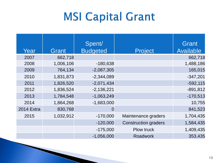### **MSI Capital Grant**

| Year              | Grant     | Spent/<br><b>Budgeted</b> | Project                     | Grant<br><b>Available</b> |
|-------------------|-----------|---------------------------|-----------------------------|---------------------------|
| 2007              | 662,718   |                           |                             | 662,718                   |
| 2008              | 1,006,106 | $-180,638$                |                             | 1,488,186                 |
| 2009              | 764,134   | $-2,087,305$              |                             | 165,015                   |
| 2010              | 1,831,873 | $-2,344,089$              |                             | $-347,201$                |
| 2011              | 1,826,520 | $-2,071,434$              |                             | $-592,115$                |
| 2012              | 1,836,524 | $-2,136,221$              |                             | $-891,812$                |
| 2013              | 1,784,548 | $-1,063,249$              |                             | $-170,513$                |
| 2014              | 1,864,268 | $-1,683,000$              |                             | 10,755                    |
| <b>2014 Extra</b> | 830,768   |                           |                             | 841,523                   |
| 2015              | 1,032,912 | $-170,000$                | Maintenance graders         | 1,704,435                 |
|                   |           | $-120,000$                | <b>Construction graders</b> | 1,584,435                 |
|                   |           | $-175,000$                | Plow truck                  | 1,409,435                 |
|                   |           | $-1,056,000$              | <b>Roadwork</b>             | 353,435                   |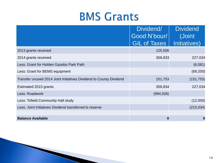#### **BMS Grants**

|                                                                    | Dividend/                           | <b>Dividend</b>         |
|--------------------------------------------------------------------|-------------------------------------|-------------------------|
|                                                                    | Good N'bour/<br><b>GIL of Taxes</b> | (Joint)<br>Initiatives) |
| 2013 grants received                                               | 125,506                             |                         |
| 2014 grants received                                               | 358,833                             | 227,034                 |
| Less: Grant for Holden Gazebo Park Path                            |                                     | (6,081)                 |
| Less: Grant for BEMS equipment                                     |                                     | (69, 200)               |
| Transfer unused 2014 Joint Initiatives Dividend to County Dividend | 151,753                             | (151, 753)              |
| Estimated 2015 grants                                              | 358,834                             | 227,034                 |
| Less: Roadwork                                                     | (994, 926)                          |                         |
| Less: Tofield Community Hall study                                 |                                     | (12,000)                |
| Less: Joint Initiatives Dividend transferred to reserve            |                                     | (215, 034)              |
| <b>Balance Available</b>                                           | 0                                   |                         |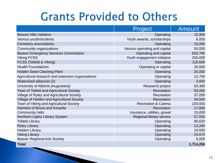#### **Grants Provided to Others**

|                                                   | <b>Project</b>                 | Amount    |
|---------------------------------------------------|--------------------------------|-----------|
| <b>Beaver Hills Initiative</b>                    | Operating                      | 15,900    |
| Various youth/students                            | Youth awards, scholarships     | 6,000     |
| Cemetery associations                             | Operating                      | 15,000    |
| Community organizations                           | Various operating and capital  | 50,000    |
| <b>Beaver Emergency Services Commission</b>       | Operating and capital          | 632,760   |
| <b>Viking FCSS</b>                                | Youth engagement initiative    | 250,000   |
| FCSS (Tofield & Viking)                           | Operating                      | 116,600   |
| <b>Health Foundations</b>                         | Operating or capital           | 20,000    |
| <b>Holden Seed Cleaning Plant</b>                 | Operating                      | 25,000    |
| Agricultural research and extension organizations | Operating                      | 12,750    |
| Watershed alliances (2)                           | Operating                      | 3,000     |
| University of Alberta (Augustana)                 | Research project               | 63,385    |
| Town of Tofield and Agricultural Society          | Recreation                     | 93,000    |
| Village of Ryley and Agricultural Society         | Recreation                     | 37,000    |
| Village of Holden and Agricultural Society        | Recreation                     | 44,500    |
| Town of Viking and Agricultural Society           | <b>Recreation &amp; Carena</b> | 100,000   |
| <b>Hamlets of Bruce and Kinsella</b>              | Recreation                     | 17,600    |
| <b>Community halls</b>                            | Insurance, utilities, gravel   | 15,000    |
| Northern Lights Library System                    | Regional library service       | 57,555    |
| <b>Tofield Library</b>                            | Operating                      | 86,620    |
| <b>Ryley Library</b>                              | Operating                      | 12,260    |
| <b>Holden Library</b>                             | Operating                      | 10,650    |
| <b>Viking Library</b>                             | Operating                      | 24,670    |
| <b>Beaver Regional Arts Society</b>               | Operating                      | 5,000     |
| <b>Total</b>                                      |                                | 1,714,250 |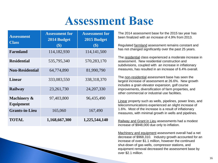#### **Assessment Base**

| <b>Assessment</b><br><b>Class</b>   | <b>Assessment for</b><br>2014 Budget<br>$\left( \text{\$}\right)$ | <b>Assessment for</b><br>2015 Budget<br>$\left( \text{\$}\right)$ |
|-------------------------------------|-------------------------------------------------------------------|-------------------------------------------------------------------|
| <b>Farmland</b>                     | 114,182,930                                                       | 114, 141, 500                                                     |
| <b>Residential</b>                  | 535,795,340                                                       | 570,283,170                                                       |
| <b>Non-Residential</b>              | 64,774,890                                                        | 81,990,790                                                        |
| <b>Linear</b>                       | 333,083,550                                                       | 338,318,370                                                       |
| <b>Railway</b>                      | 23,261,730                                                        | 24, 207, 330                                                      |
| <b>Machinery &amp;</b><br>Equipment | 97,403,800                                                        | 96,435,490                                                        |
| <b>Grants-in-Lieu</b>               | 165,060                                                           | 167,490                                                           |
| TOTAL                               | 1,168,667,300                                                     | 1,225,544,140                                                     |

The 2014 assessment base for the 2015 tax year has been finalized with an increase of 4.9% from 2013.

Regulated farmland assessment remains constant and has not changed significantly over the past 25 years.

The residential class experienced a moderate increase in assessment. New residential construction and subdivisions, coupled with an increase in inflationary measures, has resulted in an increase of 6.4% overall.

The non-residential assessment base has seen the largest increase of assessment at 26.6%. New growth includes a grain elevator expansion, golf course improvements, diversification of farm properties, and other commercial or industrial use facilities.

Linear property such as wells, pipelines, power lines, and telecommunications experienced an slight increase of 1.6%. Most of the increase is a result of inflationary measures, with minimal growth in wells and pipelines.

Railway and Grant in Lieu assessments had a modest increase of \$948,000 due only to inflation.

Machinery and equipment assessment overall had a net decrease of \$968,310. Industry growth accounted for an increase of over \$1.1 million, however the continued shut-down of gas wells, compressor stations, and equipment removal decreased the assessment base by over \$2.1 million.